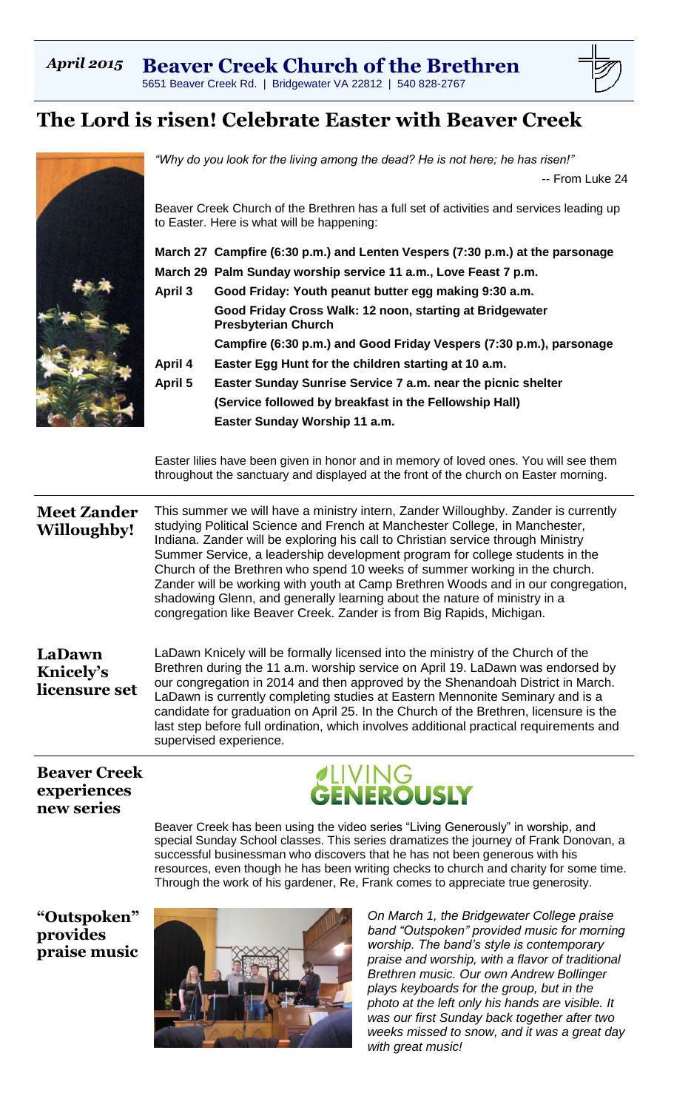# *April 2015* **Beaver Creek Church of the Brethren**

5651 Beaver Creek Rd. | Bridgewater VA 22812 | 540 828-2767

# **The Lord is risen! Celebrate Easter with Beaver Creek**



*"Why do you look for the living among the dead? He is not here; he has risen!"* -- From Luke 24

Beaver Creek Church of the Brethren has a full set of activities and services leading up to Easter. Here is what will be happening:

**March 27 Campfire (6:30 p.m.) and Lenten Vespers (7:30 p.m.) at the parsonage**

- **March 29 Palm Sunday worship service 11 a.m., Love Feast 7 p.m.**
- **April 3 Good Friday: Youth peanut butter egg making 9:30 a.m. Good Friday Cross Walk: 12 noon, starting at Bridgewater Presbyterian Church**

**Campfire (6:30 p.m.) and Good Friday Vespers (7:30 p.m.), parsonage**

- **April 4 Easter Egg Hunt for the children starting at 10 a.m.**
- **April 5 Easter Sunday Sunrise Service 7 a.m. near the picnic shelter (Service followed by breakfast in the Fellowship Hall) Easter Sunday Worship 11 a.m.**

Easter lilies have been given in honor and in memory of loved ones. You will see them throughout the sanctuary and displayed at the front of the church on Easter morning.

**Meet Zander Willoughby!** This summer we will have a ministry intern, Zander Willoughby. Zander is currently studying Political Science and French at Manchester College, in Manchester, Indiana. Zander will be exploring his call to Christian service through Ministry Summer Service, a leadership development program for college students in the Church of the Brethren who spend 10 weeks of summer working in the church. Zander will be working with youth at Camp Brethren Woods and in our congregation, shadowing Glenn, and generally learning about the nature of ministry in a congregation like Beaver Creek. Zander is from Big Rapids, Michigan.

## **LaDawn Knicely's licensure set**

LaDawn Knicely will be formally licensed into the ministry of the Church of the Brethren during the 11 a.m. worship service on April 19. LaDawn was endorsed by our congregation in 2014 and then approved by the Shenandoah District in March. LaDawn is currently completing studies at Eastern Mennonite Seminary and is a candidate for graduation on April 25. In the Church of the Brethren, licensure is the last step before full ordination, which involves additional practical requirements and supervised experience.

## **Beaver Creek experiences new series**



Beaver Creek has been using the video series "Living Generously" in worship, and special Sunday School classes. This series dramatizes the journey of Frank Donovan, a successful businessman who discovers that he has not been generous with his resources, even though he has been writing checks to church and charity for some time. Through the work of his gardener, Re, Frank comes to appreciate true generosity.

**"Outspoken" provides praise music**



*On March 1, the Bridgewater College praise band "Outspoken" provided music for morning worship. The band's style is contemporary praise and worship, with a flavor of traditional Brethren music. Our own Andrew Bollinger plays keyboards for the group, but in the photo at the left only his hands are visible. It was our first Sunday back together after two weeks missed to snow, and it was a great day with great music!*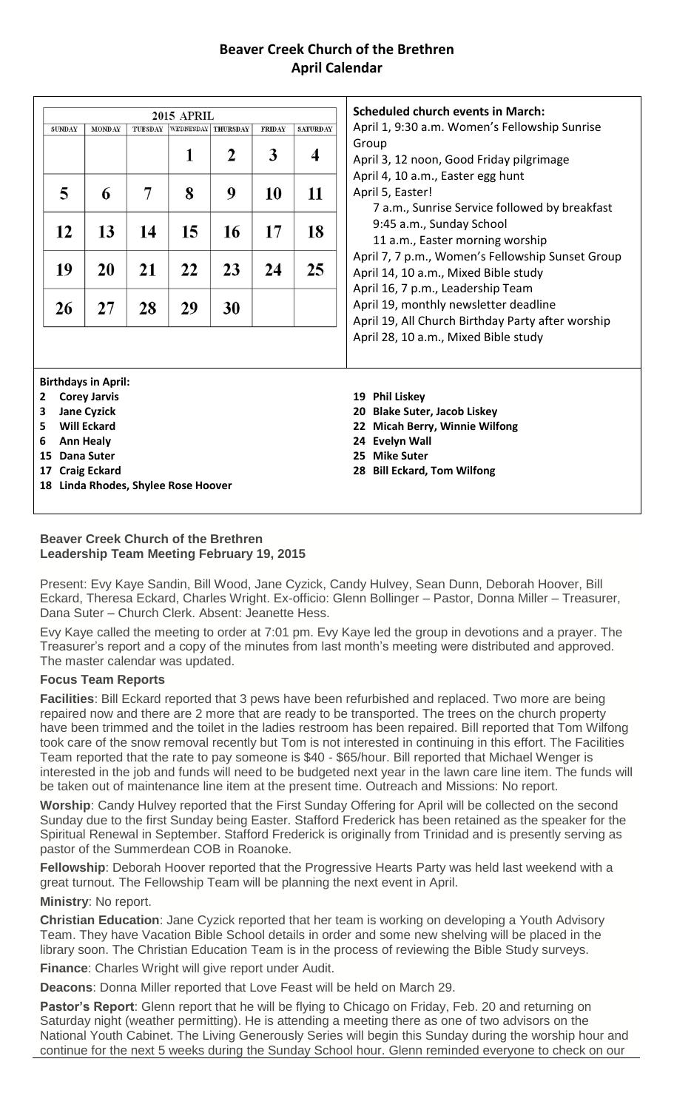## **Beaver Creek Church of the Brethren April Calendar**

| <b>Scheduled church events in March:</b><br><b>2015 APRIL</b><br>TUESDAY<br>WEDNESDAY THURSDAY<br><b>SATURDAY</b><br><b>FRIDAY</b><br><b>SUNDAY</b><br><b>MONDAY</b><br>Group<br>3<br>1<br>2<br>4<br>5<br>7<br>8<br>11<br>9<br>10<br>April 5, Easter!<br>6<br>17<br>13<br>14<br>15<br>16<br>18<br>12<br>23<br>25<br>19<br>20<br>21<br>22<br>24<br>27<br>28<br>29<br>30<br>26<br><b>Birthdays in April:</b><br><b>Corey Jarvis</b><br><b>Phil Liskey</b><br>19<br><b>Jane Cyzick</b><br>20<br><b>Will Eckard</b><br>22<br><b>Ann Healy</b><br>24 Evelyn Wall<br><b>Dana Suter</b><br>25 Mike Suter<br>15<br><b>Craig Eckard</b><br>17<br>Linda Rhodes, Shylee Rose Hoover |    |  |  |  |
|--------------------------------------------------------------------------------------------------------------------------------------------------------------------------------------------------------------------------------------------------------------------------------------------------------------------------------------------------------------------------------------------------------------------------------------------------------------------------------------------------------------------------------------------------------------------------------------------------------------------------------------------------------------------------|----|--|--|--|
| April 1, 9:30 a.m. Women's Fellowship Sunrise                                                                                                                                                                                                                                                                                                                                                                                                                                                                                                                                                                                                                            |    |  |  |  |
|                                                                                                                                                                                                                                                                                                                                                                                                                                                                                                                                                                                                                                                                          |    |  |  |  |
| April 3, 12 noon, Good Friday pilgrimage                                                                                                                                                                                                                                                                                                                                                                                                                                                                                                                                                                                                                                 |    |  |  |  |
| April 4, 10 a.m., Easter egg hunt                                                                                                                                                                                                                                                                                                                                                                                                                                                                                                                                                                                                                                        |    |  |  |  |
|                                                                                                                                                                                                                                                                                                                                                                                                                                                                                                                                                                                                                                                                          |    |  |  |  |
| 7 a.m., Sunrise Service followed by breakfast                                                                                                                                                                                                                                                                                                                                                                                                                                                                                                                                                                                                                            |    |  |  |  |
| 9:45 a.m., Sunday School                                                                                                                                                                                                                                                                                                                                                                                                                                                                                                                                                                                                                                                 |    |  |  |  |
| 11 a.m., Easter morning worship<br>April 7, 7 p.m., Women's Fellowship Sunset Group<br>April 14, 10 a.m., Mixed Bible study                                                                                                                                                                                                                                                                                                                                                                                                                                                                                                                                              |    |  |  |  |
|                                                                                                                                                                                                                                                                                                                                                                                                                                                                                                                                                                                                                                                                          |    |  |  |  |
|                                                                                                                                                                                                                                                                                                                                                                                                                                                                                                                                                                                                                                                                          |    |  |  |  |
| April 16, 7 p.m., Leadership Team<br>April 19, monthly newsletter deadline                                                                                                                                                                                                                                                                                                                                                                                                                                                                                                                                                                                               |    |  |  |  |
|                                                                                                                                                                                                                                                                                                                                                                                                                                                                                                                                                                                                                                                                          |    |  |  |  |
| April 19, All Church Birthday Party after worship<br>April 28, 10 a.m., Mixed Bible study                                                                                                                                                                                                                                                                                                                                                                                                                                                                                                                                                                                |    |  |  |  |
|                                                                                                                                                                                                                                                                                                                                                                                                                                                                                                                                                                                                                                                                          |    |  |  |  |
|                                                                                                                                                                                                                                                                                                                                                                                                                                                                                                                                                                                                                                                                          |    |  |  |  |
| <b>Blake Suter, Jacob Liskey</b>                                                                                                                                                                                                                                                                                                                                                                                                                                                                                                                                                                                                                                         |    |  |  |  |
|                                                                                                                                                                                                                                                                                                                                                                                                                                                                                                                                                                                                                                                                          |    |  |  |  |
| <b>Micah Berry, Winnie Wilfong</b>                                                                                                                                                                                                                                                                                                                                                                                                                                                                                                                                                                                                                                       |    |  |  |  |
|                                                                                                                                                                                                                                                                                                                                                                                                                                                                                                                                                                                                                                                                          |    |  |  |  |
|                                                                                                                                                                                                                                                                                                                                                                                                                                                                                                                                                                                                                                                                          |    |  |  |  |
| 28 Bill Eckard, Tom Wilfong                                                                                                                                                                                                                                                                                                                                                                                                                                                                                                                                                                                                                                              |    |  |  |  |
|                                                                                                                                                                                                                                                                                                                                                                                                                                                                                                                                                                                                                                                                          |    |  |  |  |
|                                                                                                                                                                                                                                                                                                                                                                                                                                                                                                                                                                                                                                                                          | 18 |  |  |  |

#### **Beaver Creek Church of the Brethren Leadership Team Meeting February 19, 2015**

Present: Evy Kaye Sandin, Bill Wood, Jane Cyzick, Candy Hulvey, Sean Dunn, Deborah Hoover, Bill Eckard, Theresa Eckard, Charles Wright. Ex-officio: Glenn Bollinger – Pastor, Donna Miller – Treasurer, Dana Suter – Church Clerk. Absent: Jeanette Hess.

Evy Kaye called the meeting to order at 7:01 pm. Evy Kaye led the group in devotions and a prayer. The Treasurer's report and a copy of the minutes from last month's meeting were distributed and approved. The master calendar was updated.

### **Focus Team Reports**

**Facilities**: Bill Eckard reported that 3 pews have been refurbished and replaced. Two more are being repaired now and there are 2 more that are ready to be transported. The trees on the church property have been trimmed and the toilet in the ladies restroom has been repaired. Bill reported that Tom Wilfong took care of the snow removal recently but Tom is not interested in continuing in this effort. The Facilities Team reported that the rate to pay someone is \$40 - \$65/hour. Bill reported that Michael Wenger is interested in the job and funds will need to be budgeted next year in the lawn care line item. The funds will be taken out of maintenance line item at the present time. Outreach and Missions: No report.

**Worship**: Candy Hulvey reported that the First Sunday Offering for April will be collected on the second Sunday due to the first Sunday being Easter. Stafford Frederick has been retained as the speaker for the Spiritual Renewal in September. Stafford Frederick is originally from Trinidad and is presently serving as pastor of the Summerdean COB in Roanoke.

**Fellowship**: Deborah Hoover reported that the Progressive Hearts Party was held last weekend with a great turnout. The Fellowship Team will be planning the next event in April.

### **Ministry**: No report.

**Christian Education**: Jane Cyzick reported that her team is working on developing a Youth Advisory Team. They have Vacation Bible School details in order and some new shelving will be placed in the library soon. The Christian Education Team is in the process of reviewing the Bible Study surveys.

**Finance**: Charles Wright will give report under Audit.

**Deacons**: Donna Miller reported that Love Feast will be held on March 29.

Pastor's Report: Glenn report that he will be flying to Chicago on Friday, Feb. 20 and returning on Saturday night (weather permitting). He is attending a meeting there as one of two advisors on the National Youth Cabinet. The Living Generously Series will begin this Sunday during the worship hour and continue for the next 5 weeks during the Sunday School hour. Glenn reminded everyone to check on our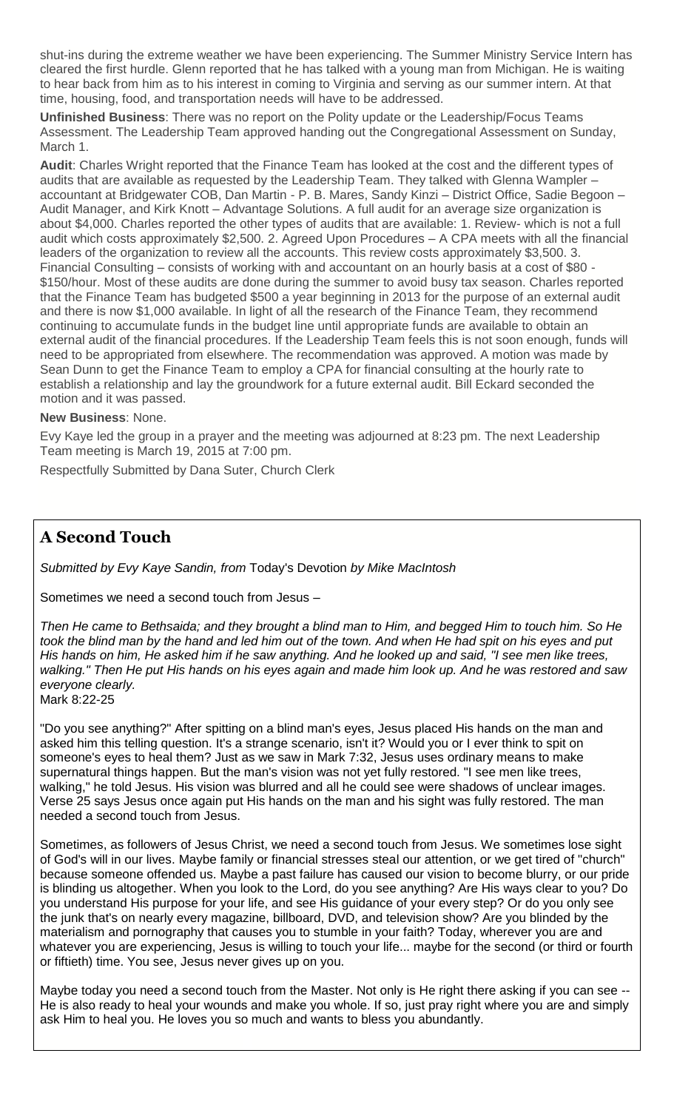shut-ins during the extreme weather we have been experiencing. The Summer Ministry Service Intern has cleared the first hurdle. Glenn reported that he has talked with a young man from Michigan. He is waiting to hear back from him as to his interest in coming to Virginia and serving as our summer intern. At that time, housing, food, and transportation needs will have to be addressed.

**Unfinished Business**: There was no report on the Polity update or the Leadership/Focus Teams Assessment. The Leadership Team approved handing out the Congregational Assessment on Sunday, March 1.

**Audit**: Charles Wright reported that the Finance Team has looked at the cost and the different types of audits that are available as requested by the Leadership Team. They talked with Glenna Wampler – accountant at Bridgewater COB, Dan Martin - P. B. Mares, Sandy Kinzi – District Office, Sadie Begoon – Audit Manager, and Kirk Knott – Advantage Solutions. A full audit for an average size organization is about \$4,000. Charles reported the other types of audits that are available: 1. Review- which is not a full audit which costs approximately \$2,500. 2. Agreed Upon Procedures – A CPA meets with all the financial leaders of the organization to review all the accounts. This review costs approximately \$3,500. 3. Financial Consulting – consists of working with and accountant on an hourly basis at a cost of \$80 - \$150/hour. Most of these audits are done during the summer to avoid busy tax season. Charles reported that the Finance Team has budgeted \$500 a year beginning in 2013 for the purpose of an external audit and there is now \$1,000 available. In light of all the research of the Finance Team, they recommend continuing to accumulate funds in the budget line until appropriate funds are available to obtain an external audit of the financial procedures. If the Leadership Team feels this is not soon enough, funds will need to be appropriated from elsewhere. The recommendation was approved. A motion was made by Sean Dunn to get the Finance Team to employ a CPA for financial consulting at the hourly rate to establish a relationship and lay the groundwork for a future external audit. Bill Eckard seconded the motion and it was passed.

#### **New Business**: None.

Evy Kaye led the group in a prayer and the meeting was adjourned at 8:23 pm. The next Leadership Team meeting is March 19, 2015 at 7:00 pm.

Respectfully Submitted by Dana Suter, Church Clerk

## **A Second Touch**

*Submitted by Evy Kaye Sandin, from* Today's Devotion *by Mike MacIntosh*

Sometimes we need a second touch from Jesus –

*Then He came to Bethsaida; and they brought a blind man to Him, and begged Him to touch him. So He took the blind man by the hand and led him out of the town. And when He had spit on his eyes and put His hands on him, He asked him if he saw anything. And he looked up and said, "I see men like trees, walking." Then He put His hands on his eyes again and made him look up. And he was restored and saw everyone clearly.* Mark 8:22-25

"Do you see anything?" After spitting on a blind man's eyes, Jesus placed His hands on the man and asked him this telling question. It's a strange scenario, isn't it? Would you or I ever think to spit on someone's eyes to heal them? Just as we saw in Mark 7:32, Jesus uses ordinary means to make supernatural things happen. But the man's vision was not yet fully restored. "I see men like trees, walking," he told Jesus. His vision was blurred and all he could see were shadows of unclear images. Verse 25 says Jesus once again put His hands on the man and his sight was fully restored. The man needed a second touch from Jesus.

Sometimes, as followers of Jesus Christ, we need a second touch from Jesus. We sometimes lose sight of God's will in our lives. Maybe family or financial stresses steal our attention, or we get tired of "church" because someone offended us. Maybe a past failure has caused our vision to become blurry, or our pride is blinding us altogether. When you look to the Lord, do you see anything? Are His ways clear to you? Do you understand His purpose for your life, and see His guidance of your every step? Or do you only see the junk that's on nearly every magazine, billboard, DVD, and television show? Are you blinded by the materialism and pornography that causes you to stumble in your faith? Today, wherever you are and whatever you are experiencing, Jesus is willing to touch your life... maybe for the second (or third or fourth or fiftieth) time. You see, Jesus never gives up on you.

Maybe today you need a second touch from the Master. Not only is He right there asking if you can see -- He is also ready to heal your wounds and make you whole. If so, just pray right where you are and simply ask Him to heal you. He loves you so much and wants to bless you abundantly.